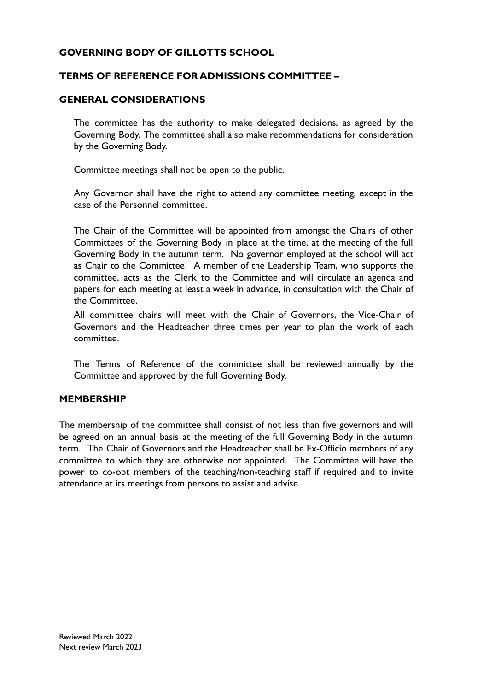## **GOVERNING BODY OF GILLOTTS SCHOOL**

## **TERMS OF REFERENCE FOR ADMISSIONS COMMITTEE –**

#### **GENERAL CONSIDERATIONS**

The committee has the authority to make delegated decisions, as agreed by the Governing Body. The committee shall also make recommendations for consideration by the Governing Body.

Committee meetings shall not be open to the public.

Any Governor shall have the right to attend any committee meeting, except in the case of the Personnel committee.

The Chair of the Committee will be appointed from amongst the Chairs of other Committees of the Governing Body in place at the time, at the meeting of the full Governing Body in the autumn term. No governor employed at the school will act as Chair to the Committee. A member of the Leadership Team, who supports the committee, acts as the Clerk to the Committee and will circulate an agenda and papers for each meeting at least a week in advance, in consultation with the Chair of the Committee.

All committee chairs will meet with the Chair of Governors, the Vice-Chair of Governors and the Headteacher three times per year to plan the work of each committee.

The Terms of Reference of the committee shall be reviewed annually by the Committee and approved by the full Governing Body.

#### **MEMBERSHIP**

The membership of the committee shall consist of not less than five governors and will be agreed on an annual basis at the meeting of the full Governing Body in the autumn term. The Chair of Governors and the Headteacher shall be Ex-Officio members of any committee to which they are otherwise not appointed. The Committee will have the power to co-opt members of the teaching/non-teaching staff if required and to invite attendance at its meetings from persons to assist and advise.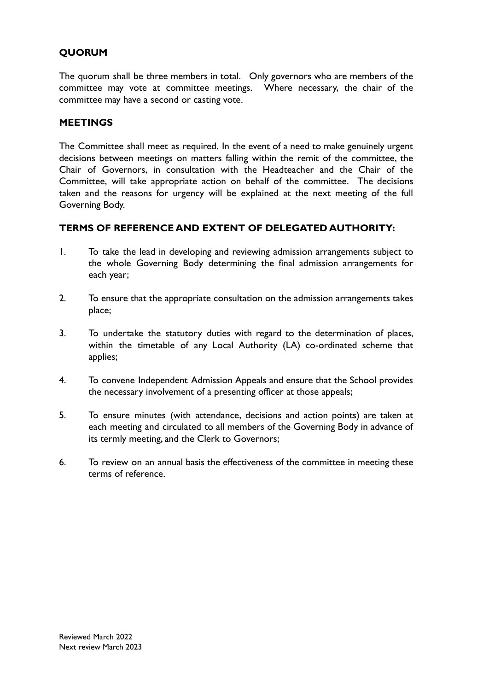# **QUORUM**

The quorum shall be three members in total. Only governors who are members of the committee may vote at committee meetings. Where necessary, the chair of the committee may have a second or casting vote.

#### **MEETINGS**

The Committee shall meet as required. In the event of a need to make genuinely urgent decisions between meetings on matters falling within the remit of the committee, the Chair of Governors, in consultation with the Headteacher and the Chair of the Committee, will take appropriate action on behalf of the committee. The decisions taken and the reasons for urgency will be explained at the next meeting of the full Governing Body.

#### **TERMS OF REFERENCE AND EXTENT OF DELEGATED AUTHORITY:**

- 1. To take the lead in developing and reviewing admission arrangements subject to the whole Governing Body determining the final admission arrangements for each year;
- 2. To ensure that the appropriate consultation on the admission arrangements takes place;
- 3. To undertake the statutory duties with regard to the determination of places, within the timetable of any Local Authority (LA) co-ordinated scheme that applies;
- 4. To convene Independent Admission Appeals and ensure that the School provides the necessary involvement of a presenting officer at those appeals;
- 5. To ensure minutes (with attendance, decisions and action points) are taken at each meeting and circulated to all members of the Governing Body in advance of its termly meeting, and the Clerk to Governors;
- 6. To review on an annual basis the effectiveness of the committee in meeting these terms of reference.